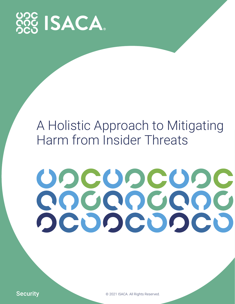

# A Holistic Approach to Mitigating Harm from Insider Threats

# UDCUDCUDC COCOCOOC OCOOCOOCO

Security  $\circ$  2021 ISACA. All Rights Reserved.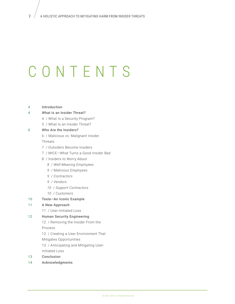# CONTENTS

### [4 Introduction](#page-3-0)

- [4 What Is an Insider Threat?](#page-3-1)
	- [4 / What Is a Security Program?](#page-3-2)
	- [5 / What Is an Insider Threat?](#page-4-0)

### [6 Who Are the Insiders?](#page-5-0)

[6 / Malicious vs. Malignant Insider](#page-5-1)

[Threats](#page-5-1)

- [7 / Outsiders Become Insiders](#page-6-0)
- [7 / MICE—What Turns a Good Insider Bad](#page-6-1)
- [8 / Insiders to Worry About](#page-7-0)
	- *[8 / Well-Meaning Employees](#page-7-1)*
	- *[9 / Malicious Employees](#page-8-0)*
	- *[9 / Contractors](#page-8-1)*
	- *[9 / Vendors](#page-8-2)*
	- *[10 / Support Contractors](#page-9-0)*
	- *[10 / Customers](#page-9-1)*
- [10 Tesla—An Iconic Example](#page-9-2)

### [11 A New Approach](#page-10-0)

[11 / User-Initiated Loss](#page-10-1)

### [12 Human Security Engineering](#page-11-0)

[12 / Removing the Insider From the](#page-11-1)

[Process](#page-11-1)

- [12 / Creating a User Environment That](#page-11-2)
- [Mitigates Opportunities](#page-11-2)
- [13 / Anticipating and Mitigating User-](#page-12-0)
- [Initiated Loss](#page-12-0)
- [13 Conclusion](#page-12-1)
- [14 Acknowledgments](#page-13-0)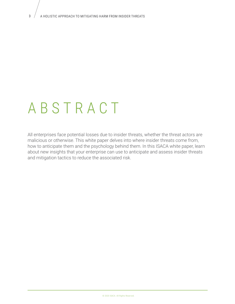# ABSTRACT

All enterprises face potential losses due to insider threats, whether the threat actors are malicious or otherwise. This white paper delves into where insider threats come from, how to anticipate them and the psychology behind them. In this ISACA white paper, learn about new insights that your enterprise can use to anticipate and assess insider threats and mitigation tactics to reduce the associated risk.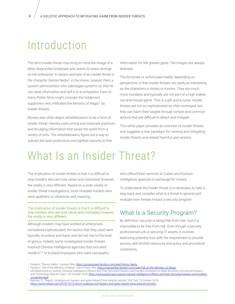# Introduction

The term insider threat may bring to mind the image of a bitter disgruntled employee who wants to exact revenge on the enterprise. A classic example of an insider threat is the character Dennis Nedry<sup>1</sup> in the movie *Jurassic Park*, a system administrator who sabotages systems so that he can steal information and sell it to a competitor. Fans of Harry Potter films might consider the Voldemort supporters who infiltrated the Ministry of Magic<sup>2</sup> as insider threats.

Movies also often depict whistleblowers to be a form of insider threat—heroes overcoming evil corporate practices and divulging information that saves the world from a variety of evils. The whistleblowers figure out a way to subvert the best protections and tightest security to free

<span id="page-3-0"></span>information for the greater good. The images are always dramatic.

The fortunate or unfortunate reality, depending on perspective, is that insider threats are rarely as interesting as the characters in books or movies. They are much more mundane and typically are not part of a high stakes cat-and-mouse game. This is a gift and a curse. Insider threats are not as sophisticated as often portrayed, but they can harm their targets through simple and common actions that are difficult to detect and mitigate.

This white paper provides an overview of insider threats and suggests a new paradigm for viewing and mitigating insider threats and related harmful user actions.

# What Is an Insider Threat?

The implication of insider threats is that it is difficult to stop insiders who are truly clever and motivated; however, the reality is very different. Based on a wide variety of insider threat investigations, most revealed insiders who were apathetic or otherwise well meaning.

### The implication of insider threats is that it is difficult to stop insiders who are truly clever and motivated; however, the reality is very different.

Although insiders may have worked at enterprises considered sophisticated, the tactics that they used were typically mundane and basic and did not rise to the level of genius. Indeed, some investigated insider threats involved Chinese intelligence agencies that recruited insiders<sup>3,4</sup> or trusted employees who were sociopaths

<span id="page-3-1"></span>who offered their services to Cuban and Russian intelligence agencies in exchange for money.

To understand the insider threat, it is necessary to take a step back and consider what is a threat in general and evaluate how threats impact a security program.

### <span id="page-3-2"></span>What Is a Security Program?

By definition, security is being free from risk—but it is impossible to be free from risk. Even though a security professional's job is securing IT assets, it involves balancing potential loss with the requirement to provide access, with limited resources and policy and procedural constraints.

<sup>&</sup>lt;sup>1</sup> Fandom, "Dennis Nedry," Jurassic Wiki, [https://jurassicpark.fandom.com/wiki/Dennis\\_Nedry](https://jurassicpark.fandom.com/wiki/Dennis_Nedry)

<sup>&</sup>lt;sup>2</sup> Fandom, "Fall of the Ministry of Magic," Harry Potter Wiki, [https://harrypotter.fandom.com/wiki/Fall\\_of\\_the\\_Ministry\\_of\\_Magic](https://harrypotter.fandom.com/wiki/Fall_of_the_Ministry_of_Magic)

<sup>3</sup> <sup>3</sup> US Department of Justice, "Chinese Intelligence Officers and Their Recruited Hackers and Insiders Conspired to Steal Sensitive Commercial Aviation and Technology Data for Years," 30 October 2018, [https://www.justice.gov/opa/pr/chinese-intelligence-o](https://www.justice.gov/opa/pr/chinese-intelligence-officers-and-their-recruited-hackers-and-insiders-conspired-steal)fficers-and-their-recruited-hackers-and-insiders[conspired-steal](https://www.justice.gov/opa/pr/chinese-intelligence-officers-and-their-recruited-hackers-and-insiders-conspired-steal)

<sup>4</sup> <sup>4</sup> Ratman, G.; "Report: Underground hackers and spies helped China steal jet secrets," *Roll Call*, 15 October 2019, https://www.rollcall.com/2019/10/15/report-underground-hackers-and-spies-helped-china-steal-jet-secrets/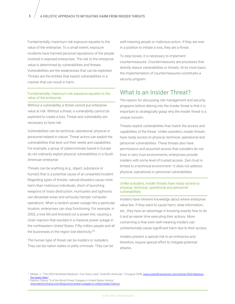Fundamentally, maximum risk exposure equates to the value of the enterprise. To a small extent, exposure incidents have harmed personal reputations of the people involved in exposed enterprises. The risk to the enterprise value is determined by vulnerabilities and threats. Vulnerabilities are the weaknesses that can be exploited. Threats are the entities that exploit vulnerabilities in a manner that can result in harm.

### Fundamentally, maximum risk exposure equates to the value of the enterprise.

Without a vulnerability, a threat cannot put enterprise value at risk. Without a threat, a vulnerability cannot be exploited to create a loss. Threat and vulnerability are necessary to have risk.

Vulnerabilities can be technical, operational, physical or personnel-related in nature. Threat actors can exploit the vulnerabilities that best suit their needs and capabilities. For example, a group of cybercriminals based in Europe do not ordinarily exploit physical vulnerabilities in a South American enterprise.

Threats can be anything (e.g., object, substance or human) that is a potential cause of an unwanted incident. Regarding types of threats, natural disasters cause more harm than malicious individuals, short of launching weapons of mass destruction. Hurricanes and typhoons can devastate areas and seriously hamper computer operations. When a random power outage hits a particular location, enterprises can stop functioning. For example, in 2003, a tree fell and knocked out a power line, causing a chain reaction that resulted in a massive power outage in the northeastern United States. Fifty-million people and all the businesses in the region lost electricity.<sup>56</sup>

The human type of threat can be insiders or outsiders. They can be nation states or petty criminals. They can be well-meaning people or malicious actors. If they are ever in a position to initiate a loss, they are a threat.

To stop losses, it is necessary to implement countermeasures. Countermeasures are processes that directly reduce vulnerabilities or threats. At its most basic, the implementation of countermeasures constitutes a security program.

### <span id="page-4-0"></span>What Is an Insider Threat?

The reason for discussing risk management and security programs before delving into the insider threat is that it is important to strategically grasp why the insider threat is a unique concern.

Threats exploit vulnerabilities that match the access and capabilities of the threat. Unlike outsiders, insider threats have ready access to physical, technical, operational and personnel vulnerabilities. These threats also have permissions and assumed access that outsiders do not. Even in zero trust environments, enterprises provide insiders with some level of trusted access. Zero trust is limited to a technical environment—it does not address physical, operational or personnel vulnerabilities.

#### Unlike outsiders, insider threats have ready access to physical, technical, operational and personnel vulnerabilities.

Insiders have inherent knowledge about where enterprise value lies. If they want to cause harm, steal information, etc., they have an advantage in knowing exactly how to do it and an easier time executing their actions. More concerning is that even well-meaning insiders can unintentionally cause significant harm due to their access.

Insiders present a special risk to an enterprise and, therefore, require special effort to mitigate potential attacks.

<sup>5</sup> <sup>5</sup> Minkel, J.; "The 2003 Northeast Blackout—Five Years Later," *Scientific American*, 13 August 2008, [www.scientificamerican.com/article/2003-blackout](http://www.scientificamerican.com/article/2003-blackout-five-years-later/)[five-years-later/](http://www.scientificamerican.com/article/2003-blackout-five-years-later/)

<sup>&</sup>lt;sup>6</sup> Electric Choice, "9 of the Worst Power Outages in United States History," www.electricchoice.com/blog/worst-power-outages-in-united-states-history/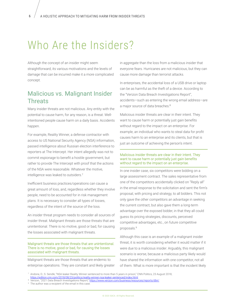# Who Are the Insiders?

Although the concept of an insider might seem straightforward, its various motivations and the levels of damage that can be incurred make it a more complicated concept.

## Malicious vs. Malignant Insider **Threats**

Many insider threats are not malicious. Any entity with the potential to cause harm, for any reason, is a threat. Wellintentioned people cause harm on a daily basis. Accidents happen.

For example, Reality Winner, a defense contractor with access to US National Security Agency (NSA) information, passed intelligence about Russian election interference to reporters at The Intercept. Her intent allegedly was not to commit espionage to benefit a hostile government, but rather to provide The Intercept with proof that the actions of the NSA were reasonable. Whatever the motive, intelligence was leaked to outsiders.<sup>7</sup>

Inefficient business practices/operations can cause a great amount of loss, and, regardless whether they involve people, need to be accounted for in risk management plans. It is necessary to consider all types of losses, regardless of the intent of the source of the loss.

An insider threat program needs to consider all sources of insider threat. Malignant threats are those threats that are unintentional. There is no motive, good or bad, for causing the losses associated with malignant threats.

### Malignant threats are those threats that are unintentional. There is no motive, good or bad, for causing the losses associated with malignant threats.

Malignant threats are those threats that are endemic to enterprise operations. They are constant and likely greater <span id="page-5-0"></span>in aggregate than the loss from a malicious insider that everyone fears. Hurricanes are not malicious, but they can cause more damage than terrorist attacks.

<span id="page-5-1"></span>In enterprises, the accidental loss of a USB drive or laptop can be as harmful as the theft of a device. According to the "Verizon Data Breach Investigations Report", accidents—such as entering the wrong email address—are a major source of data breaches.<sup>8</sup>

Malicious insider threats are clear in their intent. They want to cause harm or potentially just gain benefits without regard to the impact on an enterprise. For example, an individual who wants to steal data for profit causes harm to an enterprise and its clients, but that is just an outcome of achieving the person's intent.

### Malicious insider threats are clear in their intent. They want to cause harm or potentially just gain benefits without regard to the impact on an enterprise.

In one insider case, six competitors were bidding on a large assessment contract. The sales representative from one of the competitors accidentally clicked on "Reply all" in the email response to the solicitation and sent the firm's proposal, with pricing and strategy, to all bidders. This not only gave the other competitors an advantage in seeking the current contract, but also gave them a long-term advantage over the exposed bidder, in that they all could guess its pricing strategies, discounts, perceived competitive advantages, etc., on future competitive proposals.<sup>9</sup>

Although this case is an example of a malignant insider threat, it is worth considering whether it would matter if it were due to a malicious insider. Arguably, this malignant scenario is worse, because a malicious party likely would have shared the information with one competitor, not all of them. What is more important is that the incident likely

- <https://edition.cnn.com/2018/08/23/politics/reality-winner-nsa-leaker-sentenced/index.html> <sup>8</sup> Verizon, "2021 Data Breach Investigations Report,"<https://www.verizon.com/business/resources/reports/dbir/>
- 9 <sup>9</sup> The author was a recipient of the email in this case.

<sup>7</sup> <sup>7</sup> Andone, D.; S. Sendik; "NSA leaker Reality Winner sentenced to more than 5 years in prison," CNN Politics, 23 August 2018,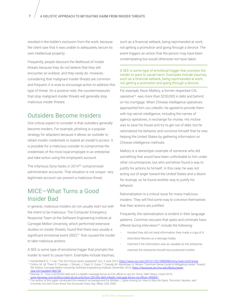resulted in the bidder's exclusion from the work, because the client saw that it was unable to adequately secure its own intellectual property.

Frequently, people discount the likelihood of insider threats because they do not believe that they will encounter an evildoer, and they rarely do. However, considering that malignant insider threats are common and frequent, it is wise to encourage action to address this type of threat. On a positive note, the countermeasures that stop malignant insider threats will generally stop malicious insider threats.

### Outsiders Become Insiders

One critical aspect to consider is that outsiders generally become insiders. For example, phishing is a popular strategy for attackers because it allows an outsider to obtain insider credentials or exploit an insider's access. It is possible for a malicious outsider to compromise the credentials of the most loyal employee in an enterprise and take action using the employee's account.

The infamous Sony hacks in 2014<sup>10</sup> compromised administrator accounts. That situation is not unique—any legitimate account can present a malicious threat.

## MICE—What Turns a Good Insider Bad

In general, malicious insiders do not usually start out with the intent to be malicious. The Computer Emergency Response Team at the Software Engineering Institute at Carnegie Mellon University, which performed extensive studies on insider threats, found that there was usually a significant emotional event  $(SEE)^{11}$  that caused the insider to take malicious actions.

A SEE is some type of emotional trigger that prompts the insider to want to cause harm. Examples include traumas, such as a financial setback, being reprimanded at work, not getting a promotion and going through a divorce. The event triggers an action that the person may have been contemplating but would otherwise not have taken.

### A SEE is some type of emotional trigger that prompts the insider to want to cause harm. Examples include traumas, such as a financial setback, being reprimanded at work, not getting a promotion and going through a divorce.

<span id="page-6-0"></span>For example, Kevin Mallory, a former respected CIA operative<sup>12</sup> was more than \$230,000 in debt and behind on his mortgage. When Chinese intelligence operatives approached him via LinkedIn, he agreed to provide them with top-secret intelligence, including the names of agency operatives, in exchange for money. His motive was to save his house and try to get out of debt, but he rationalized his behavior and convince himself that he was helping the United States by gathering information on Chinese intelligence methods.

Mallory is a stereotypic example of someone who did something that would have been unthinkable to him under other circumstances, but who somehow found a way to justify his actions to himself. In this case, he was not acting out of anger toward the United States and a desire for revenge, so he found another way to justify his behavior.

<span id="page-6-1"></span>Rationalization is a critical issue for many malicious insiders. They will find some way to convince themselves that their actions are justified.

Frequently, the rationalization is evident in their language patterns. Common excuses that spies and criminals have offered during interviews<sup>13</sup> include the following:

- Insisted they did not steal information; they made a copy of it.
- Described felonies as a teenage hobby.
- Claimed if the information was as valuable as the enterprise claimed, the enterprise should have protected it better.

<sup>&</sup>lt;sup>10</sup>VanDerWerff, E.; T. Lee; "The 2014 Sony hacks, explained," Vox, 3 June 2015,<https://www.vox.com/2015/1/20/18089084/sony-hack-north-korea> <sup>11</sup> Collins, M.; M. Theis; R. Trzeciak; J. Strozer; J. Clark; D. Costa; T. Cassidy; M. Albrethsen; A. Moore; "Common Sense Guide to Mitigating Insider Threats," 5th Edition, Carnegie Mellon University Software Engineering Institute, December 2016, [https://resources.sei.cmu.edu/library/asset](https://resources.sei.cmu.edu/library/asset-view.cfm?assetid=484738)[view.cfm?assetid=484738](https://resources.sei.cmu.edu/library/asset-view.cfm?assetid=484738)

<sup>&</sup>lt;sup>12</sup> Dilanian, K.; "How a \$230,000 debt and a LinkedIn message led an ex-CIA officer to spy for China," NBC News, 4 April 2019, www.nbcnews.com/politics/national-security/how-230-000-debt-linkedin-message-led-ex-cia-officer-n990691

<sup>&</sup>lt;sup>13</sup> The author of this paper conducted this research as background for Winkler, I.; Spies Among Us: How to Stop the Spies, Terrorists, Hackers, and *Criminals You Don't Even Know You Encounter Every Day,* Wiley, USA, 2005.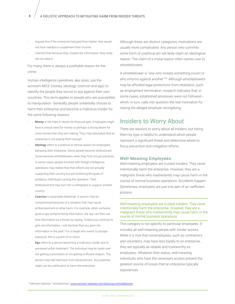- Argued that if the enterprise had paid them better, they would not have needed to supplement their income.
- Claimed that because they created the information, they really did not steal it.

For many, there is always a justifiable reason for the crime.

Human intelligence operatives, aka spies, use the acronym MICE (money, ideology, coercion and ego) to identify the people they recruit to spy against their own countries. This term applies to people who are susceptible to manipulation. Generally, people unilaterally choose to harm their enterprise and become a malicious insider for the same following reasons.

- Money is the need or desire for financial gain. Employees might have a critical need for money or perhaps a strong desire for more money than they are making. They may rationalize that an enterprise is not paying them enough.
- Ideology refers to a political or ethical reason for employees betraying their enterprise. Some people become disillusioned. Some become whistleblowers when they find corrupt practices. In some cases, people involved with foreign intelligence operations may realize that their efforts are not actually supporting their country but are furthering the goals of predatory individuals running the operation. Their disillusionment may turn into a willingness to support another country.
- Coercion is essentially blackmail. A person may be compromised because of a situation that may cause embarrassment or other harm. For example, when someone gives a spy compromising information, the spy can then use that information as a threat, by saying, "Unless you continue to give me information, I will disclose that you gave me information in the past." For a target who wants to escape exposure, this is a point of no return.
- Ego refers to a person becoming a malicious insider due to perceived unfair treatment. The individual may be upset over not getting a promotion or not getting sufficient respect. The person may feel held back from advancement. Any potential slight can be justification to harm the enterprise.

Although these are distinct categories, motivations are usually more complicated. Any person who commits some form of unethical act will likely claim an ideological reason. The claim of a moral reason often carries over to whistleblowers.

A whistleblower is "one who reveals something covert or who informs against another."<sup>14</sup> Although whistleblowers may be afforded legal protections from retaliation, such as employment termination, research indicates that, in some cases, established processes were not followed which, in turn, calls into question the real motivation for raising the alleged employer wrongdoing.

### Insiders to Worry About

<span id="page-7-0"></span>There are reasons to worry about all insiders, but listing them by type is helpful to understand which people represent a significant threat and determine where to focus prevention and mitigation efforts.

### <span id="page-7-1"></span>Well-Meaning Employees

Well-meaning employees are trusted insiders. They never intentionally harm the enterprise. However, they are a malignant threat who inadvertently may cause harm in the course of normal business operations. Accidents happen. Sometimes, employees are just one part of an inefficient process.

### Well-meaning employees are trusted insiders. They never intentionally harm the enterprise. However, they are a malignant threat who inadvertently may cause harm in the course of normal business operations.

This category is not specific to particular employees. It includes all well-meaning people with insider access. While it is true that nonemployees, such as contractors and volunteers, may have less loyalty to an enterprise, they are typically as reliable and trustworthy as employees. Whatever their status, well-meaning individuals who have the necessary access present the greatest source of losses that an enterprise typically experiences.

<sup>14</sup> Merriam-Webster, "whistleblower," [www.merriam-webster.com/dictionary/whistleblower](http://www.merriam-webster.com/dictionary/whistleblower)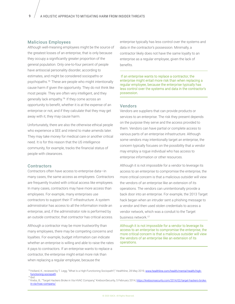### Malicious Employees

Although well-meaning employees might be the source of the greatest losses of an enterprise, that is only because they occupy a significantly greater proportion of the general population. Only one-to-four percent of people have antisocial personality disorder, according to estimates, and might be considered sociopaths or psychopaths.<sup>15</sup> These are people who might intentionally cause harm if given the opportunity. They do not think like most people. They are often very intelligent, and they generally lack empathy.<sup>16</sup> If they come across an opportunity to benefit, whether it is at the expense of an enterprise or not, and if they calculate that they may get away with it, they may cause harm.

Unfortunately, there are also the otherwise ethical people who experience a SEE and intend to make amends later. They may take money for medical care or another critical need. It is for this reason that the US intelligence community, for example, tracks the financial status of people with clearances.

### **Contractors**

Contractors often have access to enterprise data—in many cases, the same access as employees. Contractors are frequently trusted with critical access like employees. In many cases, contractors may have more access than employees. For example, many enterprises use contractors to support their IT infrastructure. A system administrator has access to all the information inside an enterprise, and, if the administrator role is performed by an outside contractor, that contractor has critical access.

Although a contractor may be more trustworthy than many employees, there may be competing concerns and loyalties. For example, budget information can indicate whether an enterprise is willing and able to raise the rates it pays to contractors. If an enterprise wants to replace a contractor, the enterprise might entail more risk than when replacing a regular employee, because the

<span id="page-8-0"></span>enterprise typically has less control over the systems and data in the contractor's possession. Minimally, a contractor likely does not have the same loyalty to an enterprise as a regular employee, given the lack of benefits.

 If an enterprise wants to replace a contractor, the enterprise might entail more risk than when replacing a regular employee, because the enterprise typically has less control over the systems and data in the contractor's possession.

### <span id="page-8-2"></span>Vendors

Vendors are suppliers that can provide products or services to an enterprise. The risk they present depends on the purpose they serve and the access provided to them. Vendors can have partial or complete access to various parts of an enterprise infrastructure. Although some vendors may intentionally target an enterprise, the concern typically focuses on the possibility that a vendor may employ a rogue individual who has access to enterprise information or other resources.

<span id="page-8-1"></span>Although it is not impossible for a vendor to leverage its access to an enterprise to compromise the enterprise, the more critical concern is that a malicious outsider will view the vendors of an enterprise like an extension of its operations. The vendors can unintentionally provide a back door into an enterprise. For example, the 2013 Target hack began when an intruder sent a phishing message to a vendor and then used stolen credentials to access a vendor network, which was a conduit to the Target business network.<sup>17</sup>

Although it is not impossible for a vendor to leverage its access to an enterprise to compromise the enterprise, the more critical concern is that a malicious outsider will view the vendors of an enterprise like an extension of its operations.

<sup>&</sup>lt;sup>15</sup> Holland, K.; reviewed by T. Legg; "What Is a High-Functioning Sociopath?," Healthline, 28 May 2019, [www.healthline.com/health/mental-health/high](http://www.healthline.com/health/mental-health/high-functioning-sociopath)[functioning-sociopath](http://www.healthline.com/health/mental-health/high-functioning-sociopath) 16 <sup>16</sup> *Ibid*.

<sup>&</sup>lt;sup>17</sup> Krebs, B.; "Target Hackers Broke in Via HVAC Company," KrebsonSecurity, 5 February 2014, [https://krebsonsecurity.com/2014/02/target-hackers-broke](https://krebsonsecurity.com/2014/02/target-hackers-broke-in-via-hvac-company/)[in-via-hvac-company/](https://krebsonsecurity.com/2014/02/target-hackers-broke-in-via-hvac-company/)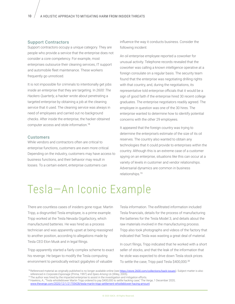### Support Contractors

Support contractors occupy a unique category. They are people who provide a service that the enterprise does not consider a core competency. For example, most enterprises outsource their cleaning services, IT support and automobile fleet maintenance. These workers frequently go unnoticed.

It is not impossible for criminals to intentionally get jobs inside an enterprise that they are targeting. In *2600: The Hackers Quarterly*, a hacker wrote about penetrating a targeted enterprise by obtaining a job at the cleaning service that it used. The cleaning service was always in need of employees and carried out no background checks. After inside the enterprise, the hacker obtained computer access and stole information.<sup>18</sup>

### **Customers**

While vendors and contractors often are critical to enterprise functions, customers are even more critical. Depending on the industry, customers may have access to business functions, and their behavior may result in losses. To a certain extent, enterprise customers can

<span id="page-9-0"></span>influence the way it conducts business. Consider the following incident:

An oil enterprise employee reported a coworker for unusual activity. Telephone records revealed that the coworker was calling a known intelligence operative at a foreign consulate on a regular basis. The security team found that the enterprise was negotiating drilling rights with that country, and, during the negotiations, its representative told enterprise officials that it would be a sign of good faith if the enterprise hired 30 recent college graduates. The enterprise negotiators readily agreed. The employee in question was one of the 30 hires. The enterprise wanted to determine how to identify potential concerns with the other 29 employees.

<span id="page-9-1"></span>It appeared that the foreign country was trying to determine the enterprise's estimate of the size of its oil reserves. The country also wanted to obtain any technologies that it could provide to enterprises within the country. Although this is an extreme case of a customer spying on an enterprise, situations like this can occur at a variety of levels in customer and vendor relationships. Adversarial dynamics are common in business relationships.<sup>19</sup>

# Tesla—An Iconic Example

There are countless cases of insiders gone rogue. Martin Tripp, a disgruntled Tesla employee, is a prime example. Tripp worked at the Tesla Nevada Gigafactory, which manufactured batteries. He was hired as a process technician and was apparently upset at being reassigned to another position, according to allegations made by Tesla CEO Elon Musk and in legal filings.

Tripp apparently started a fairly complex scheme to exact his revenge. He began to modify the Tesla computing environment to periodically extract gigabytes of valuable

<span id="page-9-2"></span>Tesla information. The exfiltrated information included Tesla financials, details for the process of manufacturing the batteries for the Tesla Model 3, and details about the raw materials involved in the manufacturing process. Tripp also took photographs and videos of the factory that indicated that Tesla was wasting a great deal of material.

In court filings, Tripp indicated that he worked with a short seller of stocks, and that the leak of the information that he stole was expected to drive down Tesla stock prices. To settle the case, Tripp paid Tesla \$400,000.<sup>20</sup>

www.theverge.com/2020/12/1/21755428/tesla-martin-tripp-settlement-whistleblower-hacing-amount

<sup>&</sup>lt;sup>18</sup> Referenced material as originally published is no longer available online (see [https://store.2600.com/collections/back-issues\)](https://store.2600.com/collections/back-issues). Subject matter is also referenced in *Corporate Espionage* (Prima, 1997) and *Spies Among Us* (Wiley, 2005).

<sup>&</sup>lt;sup>19</sup> The author was hired by the impacted enterprise to assist in the investigation and mitigation efforts.

<sup>&</sup>lt;sup>20</sup> Hawkins, A.; "Tesla whistleblower Martin Tripp ordered to pay \$400,000 to settle hacking case," The Verge, 1 December 2020,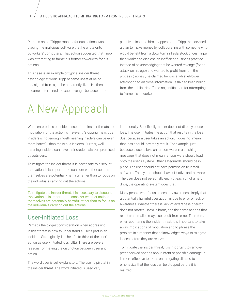Perhaps one of Tripp's most nefarious actions was placing the malicious software that he wrote onto coworkers' computers. That action suggested that Tripp was attempting to frame his former coworkers for his actions.

This case is an example of typical insider threat psychology at work. Tripp became upset at being reassigned from a job he apparently liked. He then became determined to exact revenge, because of the perceived insult to him. It appears that Tripp then devised a plan to make money by collaborating with someone who would benefit from a downturn in Tesla stock prices. Tripp then worked to disclose an inefficient business practice. Instead of acknowledging that he wanted revenge (for an attack on his ego) and wanted to profit from it in the process (money), he claimed he was a whistleblower attempting to disclose information Tesla had been hiding from the public. He offered no justification for attempting to frame his coworkers.

# A New Approach

When enterprises consider losses from insider threats, the motivation for the action is irrelevant. Stopping malicious insiders is not enough. Well-meaning insiders can be even more harmful than malicious insiders. Further, wellmeaning insiders can have their credentials compromised by outsiders.

To mitigate the insider threat, it is necessary to discount motivation. It is important to consider whether actions themselves are potentially harmful rather than to focus on the individuals carrying out the actions.

To mitigate the insider threat, it is necessary to discount motivation. It is important to consider whether actions themselves are potentially harmful rather than to focus on the individuals carrying out the actions.

### User-Initiated Loss

Perhaps the biggest consideration when addressing insider threat is how to understand a user's part in an incident. Strategically, it is helpful to think of the user's action as user-initiated loss (UIL). There are several reasons for making the distinction between user and action.

The word user is self-explanatory. The user is pivotal in the insider threat. The word initiated is used very

<span id="page-10-0"></span>intentionally. Specifically, a user does not directly cause a loss. The user initiates the action that results in the loss. Just because a user takes an action, it does not mean that loss should inevitably result. For example, just because a user clicks on ransomware in a phishing message, that does not mean ransomware should load onto the user's system. Other safeguards should be in place. The user should not have permission to install software. The system should have effective antimalware. The user does not personally encrypt each bit of a hard drive; the operating system does that.

<span id="page-10-1"></span>Many people who focus on security awareness imply that a potentially harmful user action is due to error or lack of awareness. Whether there is lack of awareness or error does not matter. Harm is harm, and the same actions that result from malice may also result from error. Therefore, when countering the insider threat, it is important to take away implications of motivation and to phrase the problem in a manner that acknowledges ways to mitigate losses before they are realized.

To mitigate the insider threat, it is important to remove preconceived notions about intent or possible damage. It is more effective to focus on mitigating UIL and to emphasize that the loss can be stopped before it is realized.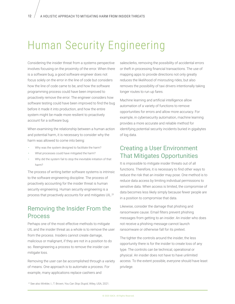# Human Security Engineering

Considering the insider threat from a systems perspective involves focusing on the proximity of the error. When there is a software bug, a good software engineer does not focus solely on the error in the line of code but considers how the line of code came to be, and how the software programming process could have been improved to proactively remove the error. The engineer considers how software testing could have been improved to find the bug before it made it into production, and how the entire system might be made more resilient to proactively account for a software bug.

When examining the relationship between a human action and potential harm, it is necessary to consider why the harm was allowed to come into being:

- Why was the system designed to facilitate the harm?
- What processes could have mitigated the harm?
- Why did the system fail to stop the inevitable initiation of that harm?

The process of writing better software systems is intrinsic to the software engineering discipline. The process of proactively accounting for the insider threat is human security engineering. Human security engineering is a process that proactively accounts for and mitigates UIL.<sup>21</sup>

### Removing the Insider From the Process

Perhaps one of the most effective methods to mitigate UIL and the insider threat as a whole is to remove the user from the process. Insiders cannot create damage, malicious or malignant, if they are not in a position to do so. Reengineering a process to remove the insider can mitigate loss.

Removing the user can be accomplished through a variety of means. One approach is to automate a process. For example, many applications replace cashiers and

<span id="page-11-0"></span>salesclerks, removing the possibility of accidental errors or theft in processing financial transactions. The use of mapping apps to provide directions not only greatly reduces the likelihood of misrouting rides, but also removes the possibility of taxi drivers intentionally taking longer routes to run up fares.

Machine learning and artificial intelligence allow automation of a variety of functions to remove opportunities for errors and allow more accuracy. For example, in cybersecurity automation, machine learning provides a more accurate and reliable method for identifying potential security incidents buried in gigabytes of log data.

### <span id="page-11-2"></span>Creating a User Environment That Mitigates Opportunities

It is impossible to mitigate insider threats out of all functions. Therefore, it is necessary to find other ways to reduce the risk that an insider may pose. One method is to reduce data access by limiting individual permissions to sensitive data. When access is limited, the compromise of data becomes less likely simply because fewer people are in a position to compromise that data.

<span id="page-11-1"></span>Likewise, consider the damage that phishing and ransomware cause. Email filters prevent phishing messages from getting to an insider. An insider who does not receive a phishing message cannot launch ransomware or otherwise fall for its pretext.

The tighter the controls around the insider, the less opportunity there is for the insider to create loss of any type. The controls can be technical, operational or physical. An insider does not have to have unlimited access. To the extent possible, everyone should have least privilege.

21 21See also Winkler, I.; T. Brown; *You Can Stop Stupid*, Wiley, USA, 2021.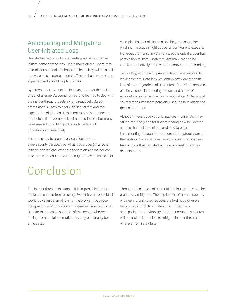## Anticipating and Mitigating User-Initiated Loss

Despite the best efforts of an enterprise, an insider will initiate some sort of loss. Users make errors. Users may be malicious. Accidents happen. There likely will be a lack of awareness in some respects. These circumstances are expected and should be planned for.

Cybersecurity is not unique in having to meet the insider threat challenge. Accounting has long learned to deal with the insider threat, proactively and reactively. Safety professionals know to deal with user errors and the expectation of injuries. This is not to say that these and other disciplines completely eliminated losses, but many have learned to build in protocols to mitigate UIL proactively and reactively.

It is necessary to proactively consider, from a cybersecurity perspective, what loss a user (or another insider) can initiate. What are the actions an insider can take, and what chain of events might a user initialize? For <span id="page-12-0"></span>example, if a user clicks on a phishing message, the phishing message might cause ransomware to execute. However, that ransomware can execute only if a user has permission to install software. Antimalware can be installed proactively to prevent ransomware from loading.

Technology is critical to prevent, detect and respond to insider threats. Data leak prevention software stops the loss of data regardless of user intent. Behavioral analytics can be valuable in detecting misuse and abuse of accounts or systems due to any motivation. All technical countermeasures have potential usefulness in mitigating the insider threat.

Although these observations may seem simplistic, they offer a starting place for understanding how to view the actions that insiders initiate and how to begin implementing the countermeasures that naturally present themselves. It should never be a surprise when insiders take actions that can start a chain of events that may result in harm.

# Conclusion

The insider threat is inevitable. It is impossible to stop malicious entities from existing. Even if it were possible, it would solve just a small part of the problem, because malignant insider threats are the greatest source of loss. Despite the massive potential of the losses, whether arising from malicious motivation, they can largely be anticipated.

<span id="page-12-1"></span>Through anticipation of user-initiated losses, they can be proactively mitigated. The application of human security engineering principles reduces the likelihood of users being in a position to initiate a loss. Proactively anticipating the inevitability that other countermeasures will fail makes it possible to mitigate insider threats in whatever form they take.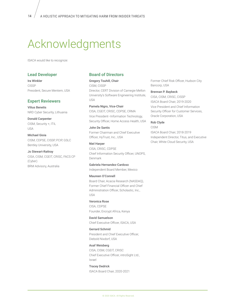# Acknowledgments

ISACA would like to recognize:

### **Lead Developer**

Ira Winkler CISSP President, Secure Mentem, USA

### **Expert Reviewers**

Vilius Benetis NRD Cyber Security, Lithuania

Donald Carpenter CISM, Security +, ITIL USA

Michael Gioia CISM, CDPSE, CISSP, PCIP, GSLC Bentley University, USA

Jo Stewart-Rattray CISA, CISM, CGEIT, CRISC, FACS CP (Cyber) BRM Advisory, Australia

### **Board of Directors**

Gregory Touhill, Chair CISM, CISSP Director, CERT Division of Carnegie Mellon University's Software Engineering Institute, USA

Pamela Nigro, Vice-Chair CISA, CGEIT, CRISC, CDPSE, CRMA Vice President–Information Technology, Security Officer, Home Access Health, USA

### John De Santis Former Chairman and Chief Executive Officer, HyTrust, Inc., USA

Niel Harper CISA, CRISC, CDPSE Chief Information Security Officer, UNOPS, Denmark

Gabriela Hernandez-Cardoso Independent Board Member, Mexico

#### Maureen O'Connell

Board Chair, Acacia Research (NASDAQ), Former Chief Financial Officer and Chief Administration Officer, Scholastic, Inc., USA

#### Veronica Rose

CISA, CDPSE Founder, Encrypt Africa, Kenya

### David Samuelson

Chief Executive Officer, ISACA, USA

### Gerrard Schmid

President and Chief Executive Officer, Diebold Nixdorf, USA

### Asaf Weisberg

CISA, CISM, CGEIT, CRISC Chief Executive Officer, introSight Ltd., Israel

Tracey Dedrick ISACA Board Chair, 2020-2021 <span id="page-13-0"></span>Former Chief Risk Officer, Hudson City Bancorp, USA

#### Brennan P. Baybeck

CISA, CISM, CRISC, CISSP ISACA Board Chair, 2019-2020 Vice President and Chief Information Security Officer for Customer Services, Oracle Corporation, USA

#### Rob Clyde

CISM ISACA Board Chair, 2018-2019 Independent Director, Titus, and Executive Chair, White Cloud Security, USA